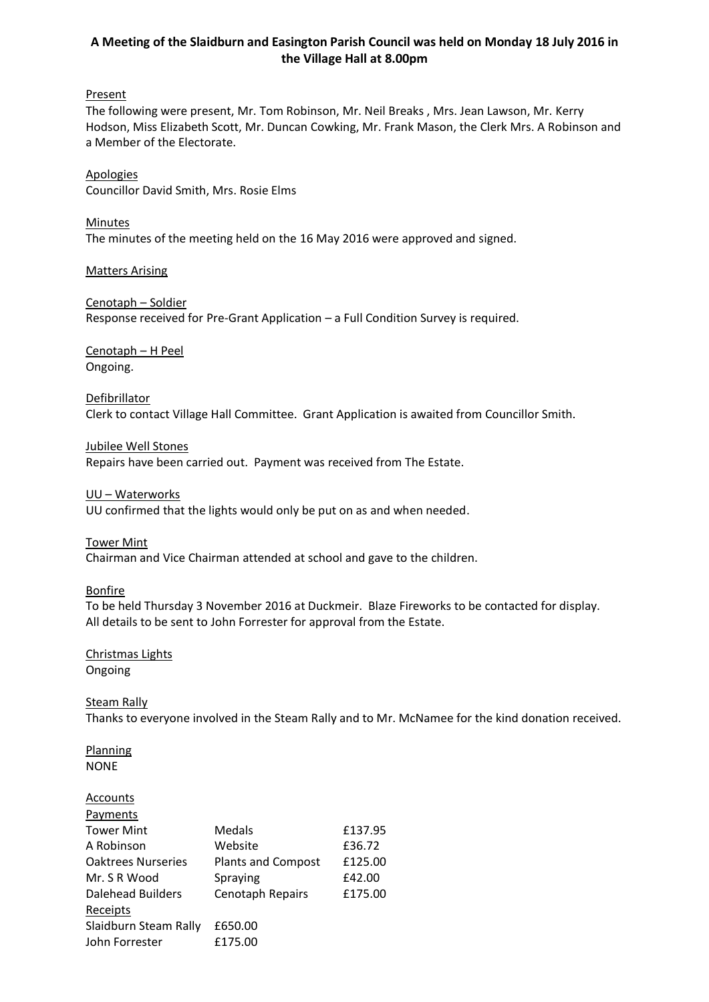# **A Meeting of the Slaidburn and Easington Parish Council was held on Monday 18 July 2016 in the Village Hall at 8.00pm**

#### **Present**

The following were present, Mr. Tom Robinson, Mr. Neil Breaks , Mrs. Jean Lawson, Mr. Kerry Hodson, Miss Elizabeth Scott, Mr. Duncan Cowking, Mr. Frank Mason, the Clerk Mrs. A Robinson and a Member of the Electorate.

Apologies Councillor David Smith, Mrs. Rosie Elms

Minutes The minutes of the meeting held on the 16 May 2016 were approved and signed.

Matters Arising

Cenotaph – Soldier Response received for Pre-Grant Application – a Full Condition Survey is required.

Cenotaph – H Peel Ongoing.

#### Defibrillator Clerk to contact Village Hall Committee. Grant Application is awaited from Councillor Smith.

Jubilee Well Stones Repairs have been carried out. Payment was received from The Estate.

UU – Waterworks

UU confirmed that the lights would only be put on as and when needed.

Tower Mint

Chairman and Vice Chairman attended at school and gave to the children.

Bonfire

To be held Thursday 3 November 2016 at Duckmeir. Blaze Fireworks to be contacted for display. All details to be sent to John Forrester for approval from the Estate.

## Christmas Lights Ongoing

## Steam Rally

Thanks to everyone involved in the Steam Rally and to Mr. McNamee for the kind donation received.

Planning NONE

## **Accounts**

| <b>Payments</b>           |                           |         |
|---------------------------|---------------------------|---------|
| <b>Tower Mint</b>         | Medals                    | £137.95 |
| A Robinson                | Website                   | £36.72  |
| <b>Oaktrees Nurseries</b> | <b>Plants and Compost</b> | £125.00 |
| Mr. S R Wood              | Spraying                  | £42.00  |
| <b>Dalehead Builders</b>  | Cenotaph Repairs          | £175.00 |
| Receipts                  |                           |         |
| Slaidburn Steam Rally     | £650.00                   |         |
| John Forrester            | £175.00                   |         |